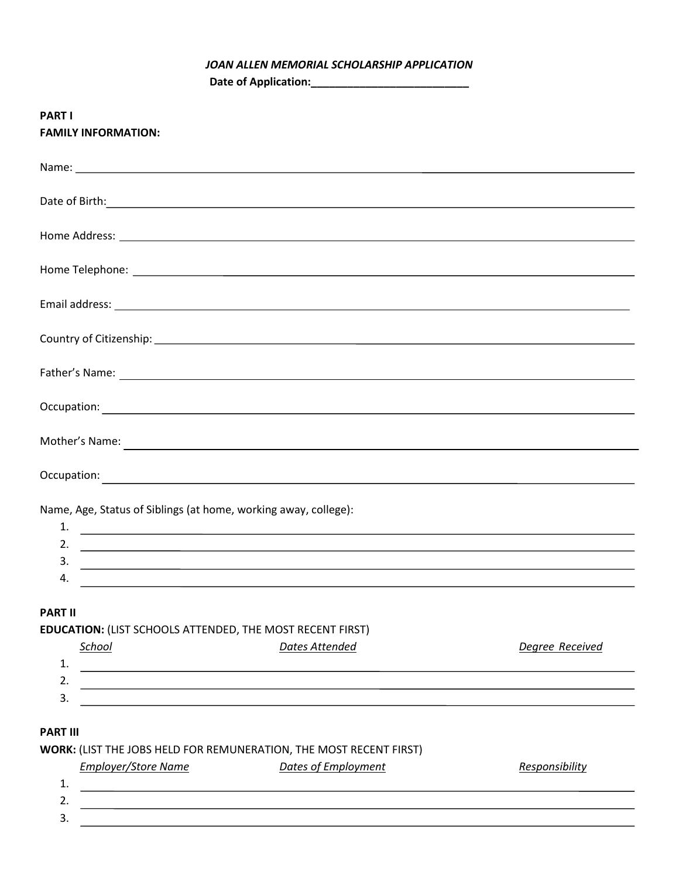## *JOAN ALLEN MEMORIAL SCHOLARSHIP APPLICATION*

**Date of Application:\_\_\_\_\_\_\_\_\_\_\_\_\_\_\_\_\_\_\_\_\_\_\_\_\_\_**

| <b>PART I</b><br><b>FAMILY INFORMATION:</b>                                                                                                                                                                                          |                       |                 |
|--------------------------------------------------------------------------------------------------------------------------------------------------------------------------------------------------------------------------------------|-----------------------|-----------------|
|                                                                                                                                                                                                                                      |                       |                 |
| Date of Birth: <u>contract the contract of Birth contract of Birth contract of Birth contract of Birth contract of Birth contract of Birth contract of Birth contract of Birth contract of Birth contract of Birth contract of B</u> |                       |                 |
|                                                                                                                                                                                                                                      |                       |                 |
|                                                                                                                                                                                                                                      |                       |                 |
|                                                                                                                                                                                                                                      |                       |                 |
|                                                                                                                                                                                                                                      |                       |                 |
|                                                                                                                                                                                                                                      |                       |                 |
|                                                                                                                                                                                                                                      |                       |                 |
|                                                                                                                                                                                                                                      |                       |                 |
|                                                                                                                                                                                                                                      |                       |                 |
| Name, Age, Status of Siblings (at home, working away, college):                                                                                                                                                                      |                       |                 |
|                                                                                                                                                                                                                                      |                       |                 |
|                                                                                                                                                                                                                                      |                       |                 |
| 3.<br>4.                                                                                                                                                                                                                             |                       |                 |
| <b>PART II</b>                                                                                                                                                                                                                       |                       |                 |
| <b>EDUCATION: (LIST SCHOOLS ATTENDED, THE MOST RECENT FIRST)</b>                                                                                                                                                                     |                       |                 |
| School                                                                                                                                                                                                                               | <b>Dates Attended</b> | Degree Received |
| 1.                                                                                                                                                                                                                                   |                       |                 |
| 2.                                                                                                                                                                                                                                   |                       |                 |
| 3.                                                                                                                                                                                                                                   |                       |                 |
| <b>PART III</b>                                                                                                                                                                                                                      |                       |                 |
| WORK: (LIST THE JOBS HELD FOR REMUNERATION, THE MOST RECENT FIRST)                                                                                                                                                                   |                       |                 |

|                 | <b>Employer/Store Name</b> | Dates of Employment | Responsibility |
|-----------------|----------------------------|---------------------|----------------|
| ᅩ.              |                            |                     |                |
| <u>.</u>        |                            |                     |                |
| <u>ว</u><br>. ب |                            |                     |                |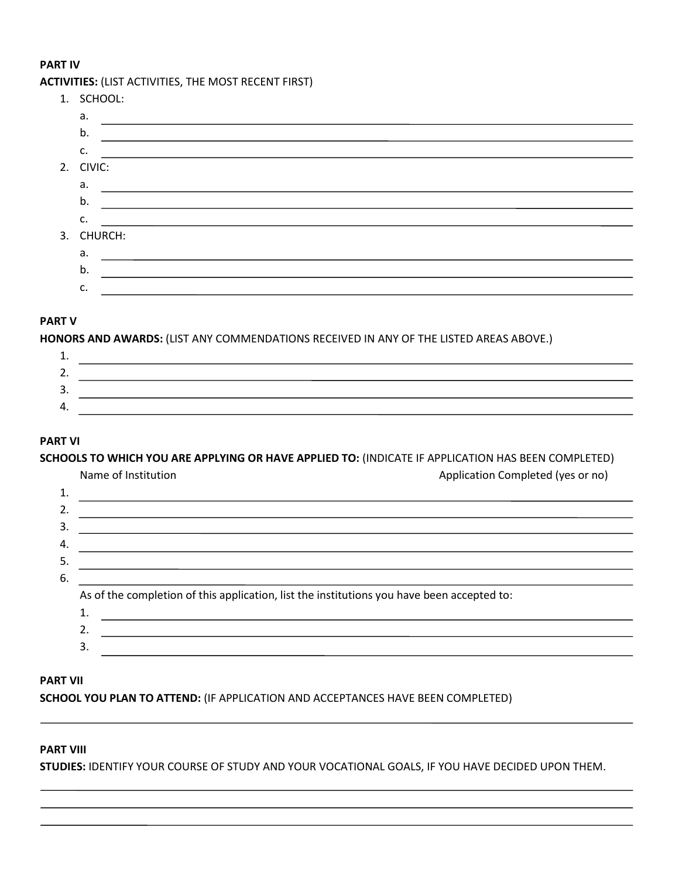#### **PART IV**

## **ACTIVITIES:** (LIST ACTIVITIES, THE MOST RECENT FIRST)

| 1. SCHOOL: |                                                             |
|------------|-------------------------------------------------------------|
| a.         |                                                             |
| b.         |                                                             |
| C.         | <u> 1989 - John Stoff, amerikansk politiker (d. 1989)</u>   |
| 2. CIVIC:  |                                                             |
| a.         |                                                             |
| b.         |                                                             |
| c.         | <u> 1989 - Johann Stoff, amerikansk politiker (d. 1989)</u> |
| 3. CHURCH: |                                                             |
| а.         |                                                             |
| b.         |                                                             |
| c.         |                                                             |
|            |                                                             |

## **PART V**

**HONORS AND AWARDS:** (LIST ANY COMMENDATIONS RECEIVED IN ANY OF THE LISTED AREAS ABOVE.)

## **PART VI**

**SCHOOLS TO WHICH YOU ARE APPLYING OR HAVE APPLIED TO:** (INDICATE IF APPLICATION HAS BEEN COMPLETED)

|    | Name of Institution                                                                        | Application Completed (yes or no) |
|----|--------------------------------------------------------------------------------------------|-----------------------------------|
| 1. |                                                                                            |                                   |
| 2. |                                                                                            |                                   |
| 3. |                                                                                            |                                   |
| 4. |                                                                                            |                                   |
| 5. |                                                                                            |                                   |
| 6. |                                                                                            |                                   |
|    | As of the completion of this application, list the institutions you have been accepted to: |                                   |
|    |                                                                                            |                                   |
|    | $\mathcal{D}$                                                                              |                                   |
|    | 3.                                                                                         |                                   |

#### **PART VII**

**SCHOOL YOU PLAN TO ATTEND:** (IF APPLICATION AND ACCEPTANCES HAVE BEEN COMPLETED)

## **PART VIII**

**STUDIES:** IDENTIFY YOUR COURSE OF STUDY AND YOUR VOCATIONAL GOALS, IF YOU HAVE DECIDED UPON THEM.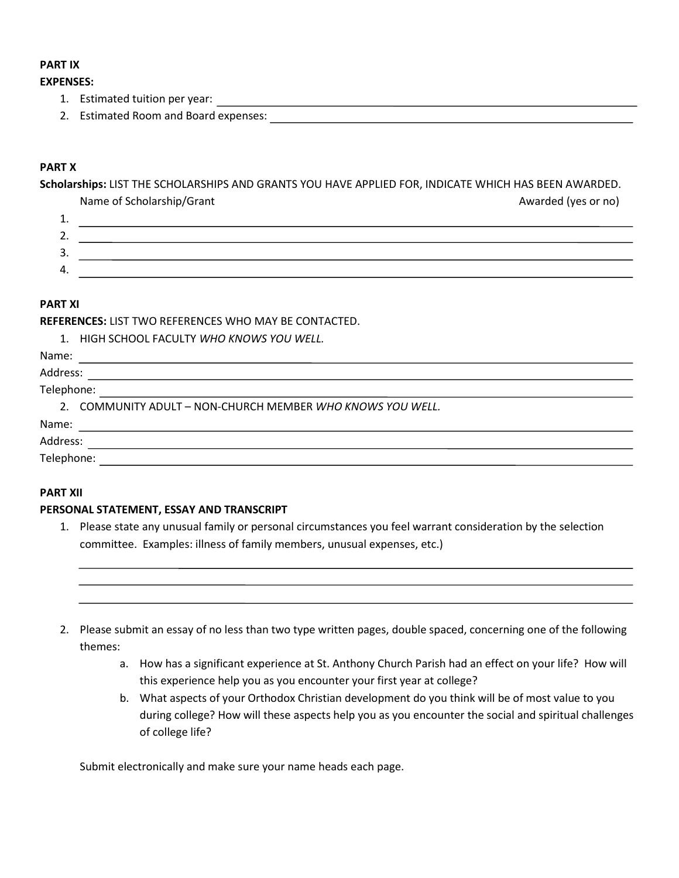## **PART IX**

#### **EXPENSES:**

- 1. Estimated tuition per year:
- 2. Estimated Room and Board expenses:

## **PART X**

**Scholarships:** LIST THE SCHOLARSHIPS AND GRANTS YOU HAVE APPLIED FOR, INDICATE WHICH HAS BEEN AWARDED.

Name of Scholarship/Grant Awarded (yes or no) 1. 2. 3.

4.

### **PART XI**

**REFERENCES:** LIST TWO REFERENCES WHO MAY BE CONTACTED.

|  | HIGH SCHOOL FACULTY <i>WHO KNOWS YOU WELL.</i> |  |  |  |  |  |
|--|------------------------------------------------|--|--|--|--|--|
|--|------------------------------------------------|--|--|--|--|--|

Name:

# Address:

Telephone:

2. COMMUNITY ADULT – NON-CHURCH MEMBER *WHO KNOWS YOU WELL.*

Name:

Address:

Telephone:

### **PART XII**

### **PERSONAL STATEMENT, ESSAY AND TRANSCRIPT**

1. Please state any unusual family or personal circumstances you feel warrant consideration by the selection committee. Examples: illness of family members, unusual expenses, etc.)



- a. How has a significant experience at St. Anthony Church Parish had an effect on your life? How will this experience help you as you encounter your first year at college?
- b. What aspects of your Orthodox Christian development do you think will be of most value to you during college? How will these aspects help you as you encounter the social and spiritual challenges of college life?

Submit electronically and make sure your name heads each page.